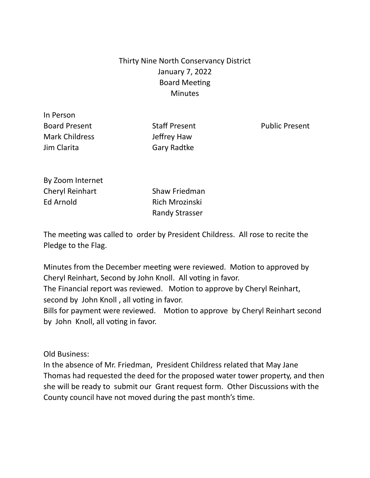## Thirty Nine North Conservancy District January 7, 2022 Board Meeting **Minutes**

In Person Board Present **Staff Present** Staff Present Public Present Mark Childress Jeffrey Haw Jim Clarita **Gary Radtke** 

By Zoom Internet Cheryl Reinhart Shaw Friedman Ed Arnold **Rich Mrozinski** 

Randy Strasser

The meeting was called to order by President Childress. All rose to recite the Pledge to the Flag.

Minutes from the December meeting were reviewed. Motion to approved by Cheryl Reinhart, Second by John Knoll. All voting in favor. The Financial report was reviewed. Motion to approve by Cheryl Reinhart, second by John Knoll , all voting in favor. Bills for payment were reviewed. Motion to approve by Cheryl Reinhart second

by John Knoll, all voting in favor.

Old Business:

In the absence of Mr. Friedman, President Childress related that May Jane Thomas had requested the deed for the proposed water tower property, and then she will be ready to submit our Grant request form. Other Discussions with the County council have not moved during the past month's time.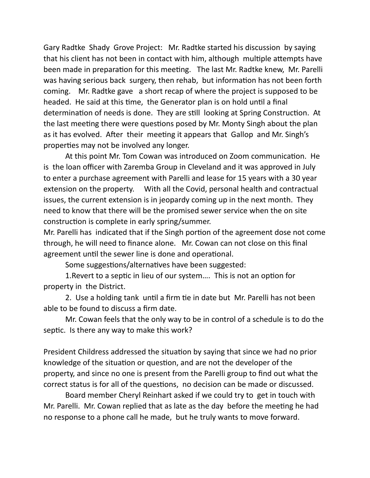Gary Radtke Shady Grove Project: Mr. Radtke started his discussion by saying that his client has not been in contact with him, although multiple attempts have been made in preparation for this meeting. The last Mr. Radtke knew, Mr. Parelli was having serious back surgery, then rehab, but information has not been forth coming. Mr. Radtke gave a short recap of where the project is supposed to be headed. He said at this time, the Generator plan is on hold until a final determination of needs is done. They are still looking at Spring Construction. At the last meeting there were questions posed by Mr. Monty Singh about the plan as it has evolved. After their meeting it appears that Gallop and Mr. Singh's properties may not be involved any longer.

At this point Mr. Tom Cowan was introduced on Zoom communication. He is the loan officer with Zaremba Group in Cleveland and it was approved in July to enter a purchase agreement with Parelli and lease for 15 years with a 30 year extension on the property. With all the Covid, personal health and contractual issues, the current extension is in jeopardy coming up in the next month. They need to know that there will be the promised sewer service when the on site construction is complete in early spring/summer.

Mr. Parelli has indicated that if the Singh portion of the agreement dose not come through, he will need to finance alone. Mr. Cowan can not close on this final agreement until the sewer line is done and operational.

Some suggestions/alternatives have been suggested:

1.Revert to a septic in lieu of our system…. This is not an option for property in the District.

2. Use a holding tank until a firm tie in date but Mr. Parelli has not been able to be found to discuss a firm date.

Mr. Cowan feels that the only way to be in control of a schedule is to do the septic. Is there any way to make this work?

President Childress addressed the situation by saying that since we had no prior knowledge of the situation or question, and are not the developer of the property, and since no one is present from the Parelli group to find out what the correct status is for all of the questions, no decision can be made or discussed.

Board member Cheryl Reinhart asked if we could try to get in touch with Mr. Parelli. Mr. Cowan replied that as late as the day before the meeting he had no response to a phone call he made, but he truly wants to move forward.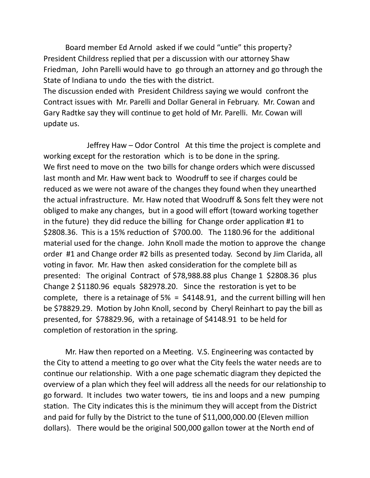Board member Ed Arnold asked if we could "untie" this property? President Childress replied that per a discussion with our attorney Shaw Friedman, John Parelli would have to go through an attorney and go through the State of Indiana to undo the ties with the district.

The discussion ended with President Childress saying we would confront the Contract issues with Mr. Parelli and Dollar General in February. Mr. Cowan and Gary Radtke say they will continue to get hold of Mr. Parelli. Mr. Cowan will update us.

Jeffrey Haw – Odor Control At this time the project is complete and working except for the restoration which is to be done in the spring. We first need to move on the two bills for change orders which were discussed last month and Mr. Haw went back to Woodruff to see if charges could be reduced as we were not aware of the changes they found when they unearthed the actual infrastructure. Mr. Haw noted that Woodruff & Sons felt they were not obliged to make any changes, but in a good will effort (toward working together in the future) they did reduce the billing for Change order application #1 to \$2808.36. This is a 15% reduction of \$700.00. The 1180.96 for the additional material used for the change. John Knoll made the motion to approve the change order #1 and Change order #2 bills as presented today. Second by Jim Clarida, all voting in favor. Mr. Haw then asked consideration for the complete bill as presented: The original Contract of \$78,988.88 plus Change 1 \$2808.36 plus Change 2 \$1180.96 equals \$82978.20. Since the restoration is yet to be complete, there is a retainage of  $5\% = $4148.91$ , and the current billing will hen be \$78829.29. Motion by John Knoll, second by Cheryl Reinhart to pay the bill as presented, for \$78829.96, with a retainage of \$4148.91 to be held for completion of restoration in the spring.

Mr. Haw then reported on a Meeting. V.S. Engineering was contacted by the City to attend a meeting to go over what the City feels the water needs are to continue our relationship. With a one page schematic diagram they depicted the overview of a plan which they feel will address all the needs for our relationship to go forward. It includes two water towers, tie ins and loops and a new pumping station. The City indicates this is the minimum they will accept from the District and paid for fully by the District to the tune of \$11,000,000.00 (Eleven million dollars). There would be the original 500,000 gallon tower at the North end of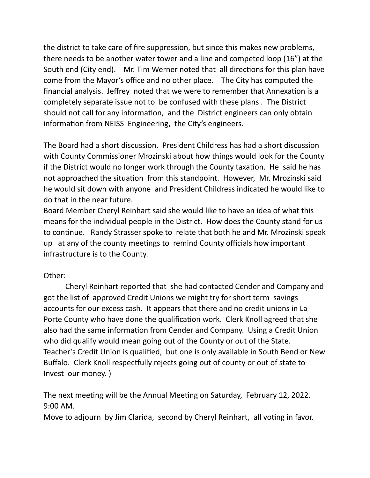the district to take care of fire suppression, but since this makes new problems, there needs to be another water tower and a line and competed loop (16") at the South end (City end). Mr. Tim Werner noted that all directions for this plan have come from the Mayor's office and no other place. The City has computed the financial analysis. Jeffrey noted that we were to remember that Annexation is a completely separate issue not to be confused with these plans . The District should not call for any information, and the District engineers can only obtain information from NEISS Engineering, the City's engineers.

The Board had a short discussion. President Childress has had a short discussion with County Commissioner Mrozinski about how things would look for the County if the District would no longer work through the County taxation. He said he has not approached the situation from this standpoint. However, Mr. Mrozinski said he would sit down with anyone and President Childress indicated he would like to do that in the near future.

Board Member Cheryl Reinhart said she would like to have an idea of what this means for the individual people in the District. How does the County stand for us to continue. Randy Strasser spoke to relate that both he and Mr. Mrozinski speak up at any of the county meetings to remind County officials how important infrastructure is to the County.

## Other:

Cheryl Reinhart reported that she had contacted Cender and Company and got the list of approved Credit Unions we might try for short term savings accounts for our excess cash. It appears that there and no credit unions in La Porte County who have done the qualification work. Clerk Knoll agreed that she also had the same information from Cender and Company. Using a Credit Union who did qualify would mean going out of the County or out of the State. Teacher's Credit Union is qualified, but one is only available in South Bend or New Buffalo. Clerk Knoll respectfully rejects going out of county or out of state to Invest our money. )

The next meeting will be the Annual Meeting on Saturday, February 12, 2022. 9:00 AM.

Move to adjourn by Jim Clarida, second by Cheryl Reinhart, all voting in favor.